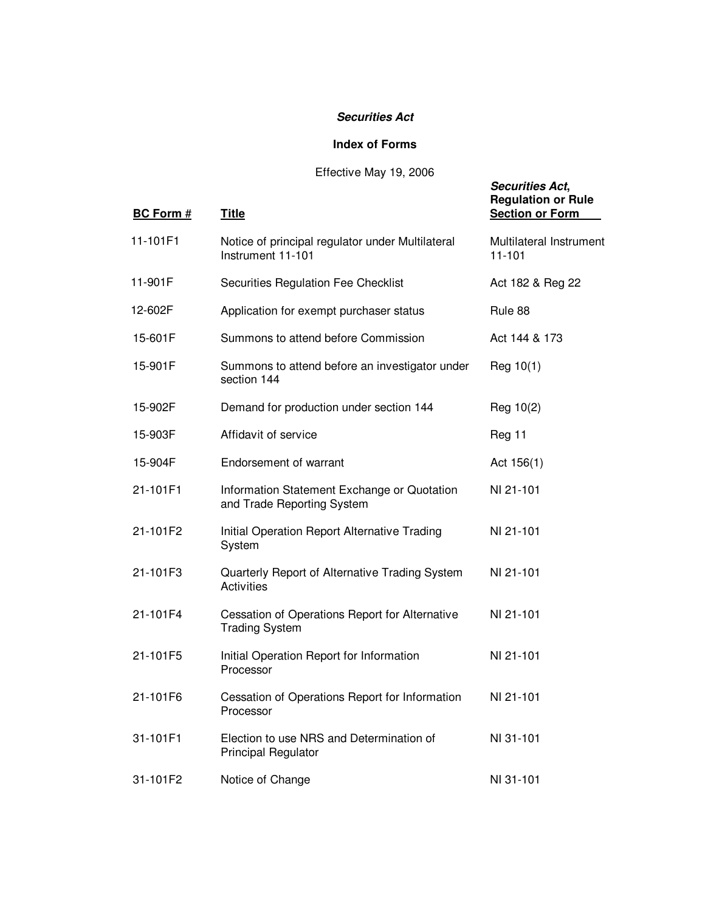#### *Securities Act*

### **Index of Forms**

# Effective May 19, 2006

*Securities Act***,**

| <b>BC Form #</b> | <b>Title</b>                                                              | <b>Regulation or Rule</b><br><b>Section or Form</b> |
|------------------|---------------------------------------------------------------------------|-----------------------------------------------------|
| 11-101F1         | Notice of principal regulator under Multilateral<br>Instrument 11-101     | Multilateral Instrument<br>11-101                   |
| 11-901F          | Securities Regulation Fee Checklist                                       | Act 182 & Reg 22                                    |
| 12-602F          | Application for exempt purchaser status                                   | Rule 88                                             |
| 15-601F          | Summons to attend before Commission                                       | Act 144 & 173                                       |
| 15-901F          | Summons to attend before an investigator under<br>section 144             | Reg 10(1)                                           |
| 15-902F          | Demand for production under section 144                                   | Reg 10(2)                                           |
| 15-903F          | Affidavit of service                                                      | Reg 11                                              |
| 15-904F          | <b>Endorsement of warrant</b>                                             | Act $156(1)$                                        |
| 21-101F1         | Information Statement Exchange or Quotation<br>and Trade Reporting System | NI 21-101                                           |
| 21-101F2         | Initial Operation Report Alternative Trading<br>System                    | NI 21-101                                           |
| 21-101F3         | Quarterly Report of Alternative Trading System<br>Activities              | NI 21-101                                           |
| 21-101F4         | Cessation of Operations Report for Alternative<br><b>Trading System</b>   | NI 21-101                                           |
| 21-101F5         | Initial Operation Report for Information<br>Processor                     | NI 21-101                                           |
| 21-101F6         | Cessation of Operations Report for Information<br>Processor               | NI 21-101                                           |
| 31-101F1         | Election to use NRS and Determination of<br><b>Principal Regulator</b>    | NI 31-101                                           |
| 31-101F2         | Notice of Change                                                          | NI 31-101                                           |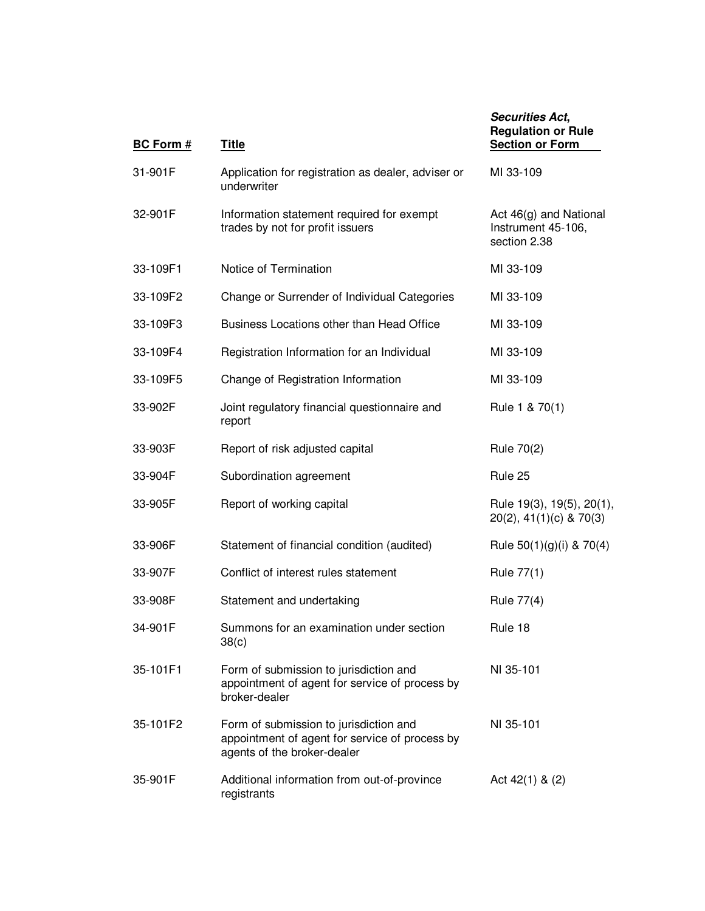| <b>BC Form #</b> | <b>Title</b>                                                                                                            | <b>Securities Act,</b><br><b>Regulation or Rule</b><br><b>Section or Form</b> |
|------------------|-------------------------------------------------------------------------------------------------------------------------|-------------------------------------------------------------------------------|
| 31-901F          | Application for registration as dealer, adviser or<br>underwriter                                                       | MI 33-109                                                                     |
| 32-901F          | Information statement required for exempt<br>trades by not for profit issuers                                           | Act 46(g) and National<br>Instrument 45-106,<br>section 2.38                  |
| 33-109F1         | Notice of Termination                                                                                                   | MI 33-109                                                                     |
| 33-109F2         | Change or Surrender of Individual Categories                                                                            | MI 33-109                                                                     |
| 33-109F3         | Business Locations other than Head Office                                                                               | MI 33-109                                                                     |
| 33-109F4         | Registration Information for an Individual                                                                              | MI 33-109                                                                     |
| 33-109F5         | Change of Registration Information                                                                                      | MI 33-109                                                                     |
| 33-902F          | Joint regulatory financial questionnaire and<br>report                                                                  | Rule 1 & 70(1)                                                                |
| 33-903F          | Report of risk adjusted capital                                                                                         | Rule 70(2)                                                                    |
| 33-904F          | Subordination agreement                                                                                                 | Rule 25                                                                       |
| 33-905F          | Report of working capital                                                                                               | Rule 19(3), 19(5), 20(1),<br>$20(2)$ , 41(1)(c) & 70(3)                       |
| 33-906F          | Statement of financial condition (audited)                                                                              | Rule $50(1)(g)(i)$ & $70(4)$                                                  |
| 33-907F          | Conflict of interest rules statement                                                                                    | Rule 77(1)                                                                    |
| 33-908F          | Statement and undertaking                                                                                               | Rule 77(4)                                                                    |
| 34-901F          | Summons for an examination under section<br>38(c)                                                                       | Rule 18                                                                       |
| 35-101F1         | Form of submission to jurisdiction and<br>appointment of agent for service of process by<br>broker-dealer               | NI 35-101                                                                     |
| 35-101F2         | Form of submission to jurisdiction and<br>appointment of agent for service of process by<br>agents of the broker-dealer | NI 35-101                                                                     |
| 35-901F          | Additional information from out-of-province<br>registrants                                                              | Act $42(1)$ & $(2)$                                                           |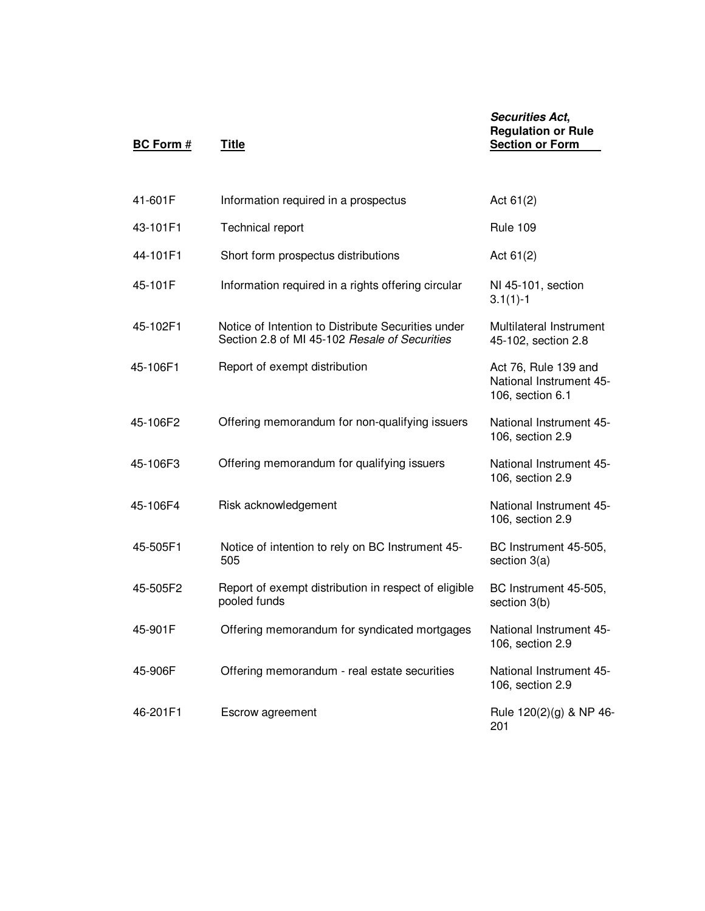# **BC Form** # **Title Section or Form** 41-601F Information required in a prospectus Act 61(2) 43-101F1 Technical report Rule 109 44-101F1 Short form prospectus distributions Act 61(2) 45-101F Information required in a rights offering circular NI 45-101, section 3.1(1)-1 45-102F1 Notice of Intention to Distribute Securities under Section 2.8 of MI 45-102 *Resale of Securities* Multilateral Instrument 45-102, section 2.8 45-106F1 Report of exempt distribution Act 76, Rule 139 and National Instrument 45- 106, section 6.1 45-106F2 Offering memorandum for non-qualifying issuers National Instrument 45- 106, section 2.9 45-106F3 Offering memorandum for qualifying issuers National Instrument 45- 106, section 2.9 45-106F4 Risk acknowledgement National Instrument 45- 106, section 2.9 45-505F1 Notice of intention to rely on BC Instrument 45- 505 BC Instrument 45-505, section 3(a) 45-505F2 Report of exempt distribution in respect of eligible pooled funds BC Instrument 45-505, section 3(b) 45-901F Offering memorandum for syndicated mortgages National Instrument 45- 106, section 2.9 45-906F Offering memorandum - real estate securities National Instrument 45- 106, section 2.9

*Securities Act***, Regulation or Rule**

46-201F1 Escrow agreement Rule 120(2)(g) & NP 46- 201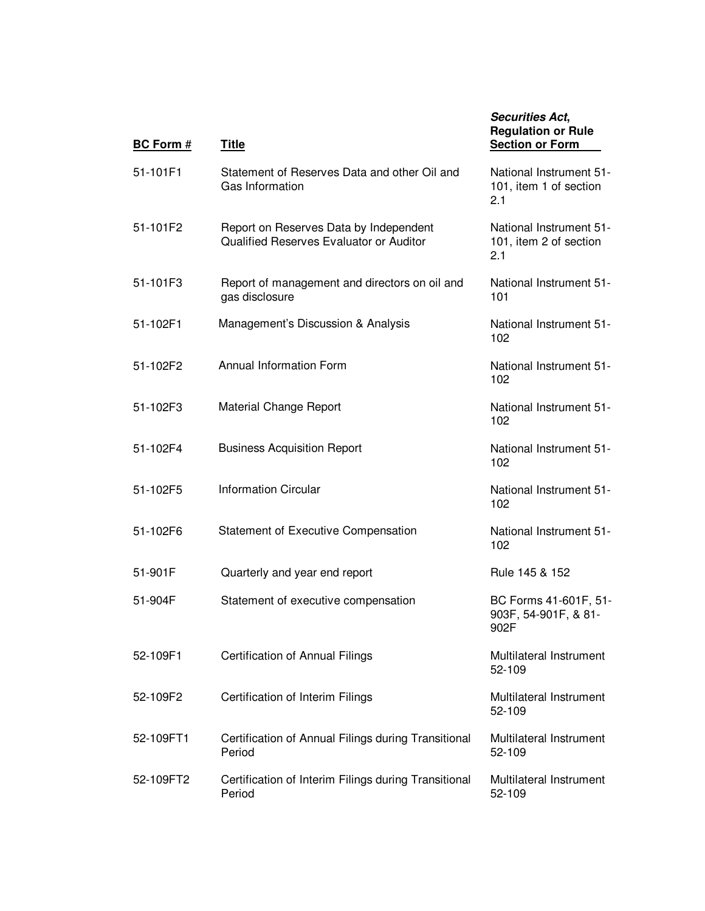*Securities Act***, Regulation or Rule Section or Form**  $\mathbf{r}$ 

| 51-101F1  | Statement of Reserves Data and other Oil and<br>Gas Information                   | National Instrument 51-<br>101, item 1 of section<br>2.1 |
|-----------|-----------------------------------------------------------------------------------|----------------------------------------------------------|
| 51-101F2  | Report on Reserves Data by Independent<br>Qualified Reserves Evaluator or Auditor | National Instrument 51-<br>101, item 2 of section<br>2.1 |
| 51-101F3  | Report of management and directors on oil and<br>gas disclosure                   | National Instrument 51-<br>101                           |
| 51-102F1  | Management's Discussion & Analysis                                                | National Instrument 51-<br>102                           |
| 51-102F2  | Annual Information Form                                                           | National Instrument 51-<br>102                           |
| 51-102F3  | Material Change Report                                                            | National Instrument 51-<br>102                           |
| 51-102F4  | <b>Business Acquisition Report</b>                                                | National Instrument 51-<br>102                           |
| 51-102F5  | <b>Information Circular</b>                                                       | National Instrument 51-<br>102                           |
| 51-102F6  | Statement of Executive Compensation                                               | National Instrument 51-<br>102                           |
| 51-901F   | Quarterly and year end report                                                     | Rule 145 & 152                                           |
| 51-904F   | Statement of executive compensation                                               | BC Forms 41-601F, 51-<br>903F, 54-901F, & 81-<br>902F    |
| 52-109F1  | Certification of Annual Filings                                                   | Multilateral Instrument<br>52-109                        |
| 52-109F2  | Certification of Interim Filings                                                  | Multilateral Instrument<br>52-109                        |
| 52-109FT1 | Certification of Annual Filings during Transitional<br>Period                     | Multilateral Instrument<br>52-109                        |
| 52-109FT2 | Certification of Interim Filings during Transitional<br>Period                    | Multilateral Instrument<br>52-109                        |

**BC Form** # **Title**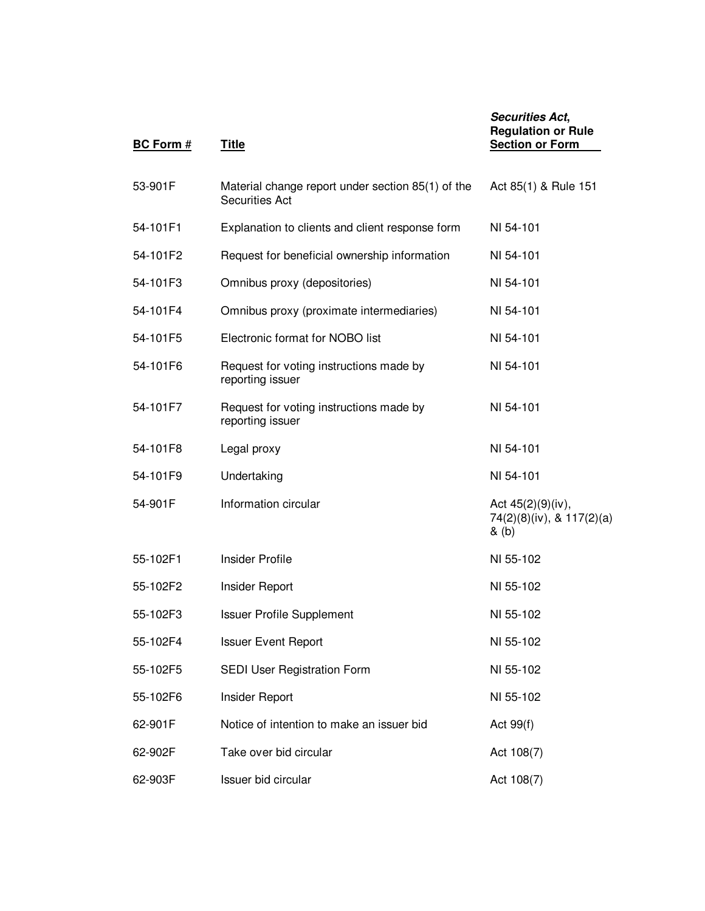| <b>BC Form #</b> | <b>Title</b>                                                               | <b>Securities Act,</b><br><b>Regulation or Rule</b><br><b>Section or Form</b> |
|------------------|----------------------------------------------------------------------------|-------------------------------------------------------------------------------|
| 53-901F          | Material change report under section 85(1) of the<br><b>Securities Act</b> | Act 85(1) & Rule 151                                                          |
| 54-101F1         | Explanation to clients and client response form                            | NI 54-101                                                                     |
| 54-101F2         | Request for beneficial ownership information                               | NI 54-101                                                                     |
| 54-101F3         | Omnibus proxy (depositories)                                               | NI 54-101                                                                     |
| 54-101F4         | Omnibus proxy (proximate intermediaries)                                   | NI 54-101                                                                     |
| 54-101F5         | Electronic format for NOBO list                                            | NI 54-101                                                                     |
| 54-101F6         | Request for voting instructions made by<br>reporting issuer                | NI 54-101                                                                     |
| 54-101F7         | Request for voting instructions made by<br>reporting issuer                | NI 54-101                                                                     |
| 54-101F8         | Legal proxy                                                                | NI 54-101                                                                     |
| 54-101F9         | Undertaking                                                                | NI 54-101                                                                     |
| 54-901F          | Information circular                                                       | Act 45(2)(9)(iv),<br>74(2)(8)(iv), & 117(2)(a)<br>& (b)                       |
| 55-102F1         | Insider Profile                                                            | NI 55-102                                                                     |
| 55-102F2         | Insider Report                                                             | NI 55-102                                                                     |
| 55-102F3         | <b>Issuer Profile Supplement</b>                                           | NI 55-102                                                                     |
| 55-102F4         | <b>Issuer Event Report</b>                                                 | NI 55-102                                                                     |
| 55-102F5         | SEDI User Registration Form                                                | NI 55-102                                                                     |
| 55-102F6         | Insider Report                                                             | NI 55-102                                                                     |
| 62-901F          | Notice of intention to make an issuer bid                                  | Act 99(f)                                                                     |
| 62-902F          | Take over bid circular                                                     | Act 108(7)                                                                    |
| 62-903F          | Issuer bid circular                                                        | Act 108(7)                                                                    |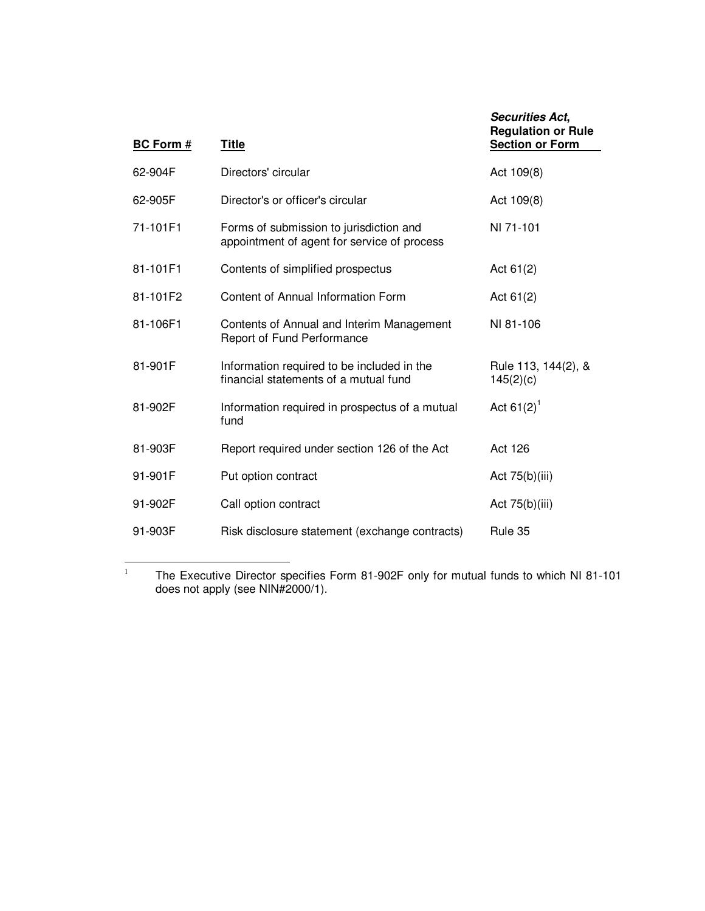| <b>BC Form #</b> | <b>Title</b>                                                                           | <b>Securities Act,</b><br><b>Regulation or Rule</b><br><b>Section or Form</b> |
|------------------|----------------------------------------------------------------------------------------|-------------------------------------------------------------------------------|
| 62-904F          | Directors' circular                                                                    | Act 109(8)                                                                    |
| 62-905F          | Director's or officer's circular                                                       | Act 109(8)                                                                    |
| 71-101F1         | Forms of submission to jurisdiction and<br>appointment of agent for service of process | NI 71-101                                                                     |
| 81-101F1         | Contents of simplified prospectus                                                      | Act $61(2)$                                                                   |
| 81-101F2         | Content of Annual Information Form                                                     | Act $61(2)$                                                                   |
| 81-106F1         | Contents of Annual and Interim Management<br>Report of Fund Performance                | NI 81-106                                                                     |
| 81-901F          | Information required to be included in the<br>financial statements of a mutual fund    | Rule 113, 144(2), &<br>145(2)(c)                                              |
| 81-902F          | Information required in prospectus of a mutual<br>fund                                 | Act $61(2)^1$                                                                 |
| 81-903F          | Report required under section 126 of the Act                                           | Act 126                                                                       |
| 91-901F          | Put option contract                                                                    | Act $75(b)(iii)$                                                              |
| 91-902F          | Call option contract                                                                   | Act 75(b)(iii)                                                                |
| 91-903F          | Risk disclosure statement (exchange contracts)                                         | Rule 35                                                                       |

<sup>1</sup> The Executive Director specifies Form 81-902F only for mutual funds to which NI 81-101 does not apply (see NIN#2000/1).